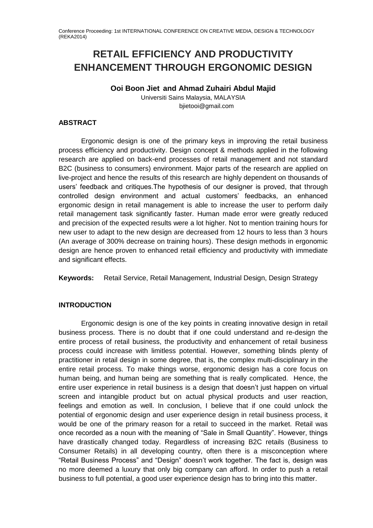# **RETAIL EFFICIENCY AND PRODUCTIVITY ENHANCEMENT THROUGH ERGONOMIC DESIGN**

**Ooi Boon Jiet and Ahmad Zuhairi Abdul Majid**

Universiti Sains Malaysia, MALAYSIA bjietooi@gmail.com

## **ABSTRACT**

Ergonomic design is one of the primary keys in improving the retail business process efficiency and productivity. Design concept & methods applied in the following research are applied on back-end processes of retail management and not standard B2C (business to consumers) environment. Major parts of the research are applied on live-project and hence the results of this research are highly dependent on thousands of users' feedback and critiques.The hypothesis of our designer is proved, that through controlled design environment and actual customers' feedbacks, an enhanced ergonomic design in retail management is able to increase the user to perform daily retail management task significantly faster. Human made error were greatly reduced and precision of the expected results were a lot higher. Not to mention training hours for new user to adapt to the new design are decreased from 12 hours to less than 3 hours (An average of 300% decrease on training hours). These design methods in ergonomic design are hence proven to enhanced retail efficiency and productivity with immediate and significant effects.

**Keywords:** Retail Service, Retail Management, Industrial Design, Design Strategy

# **INTRODUCTION**

Ergonomic design is one of the key points in creating innovative design in retail business process. There is no doubt that if one could understand and re-design the entire process of retail business, the productivity and enhancement of retail business process could increase with limitless potential. However, something blinds plenty of practitioner in retail design in some degree, that is, the complex multi-disciplinary in the entire retail process. To make things worse, ergonomic design has a core focus on human being, and human being are something that is really complicated. Hence, the entire user experience in retail business is a design that doesn't just happen on virtual screen and intangible product but on actual physical products and user reaction, feelings and emotion as well. In conclusion, I believe that if one could unlock the potential of ergonomic design and user experience design in retail business process, it would be one of the primary reason for a retail to succeed in the market. Retail was once recorded as a noun with the meaning of "Sale in Small Quantity". However, things have drastically changed today. Regardless of increasing B2C retails (Business to Consumer Retails) in all developing country, often there is a misconception where "Retail Business Process" and "Design" doesn't work together. The fact is, design was no more deemed a luxury that only big company can afford. In order to push a retail business to full potential, a good user experience design has to bring into this matter.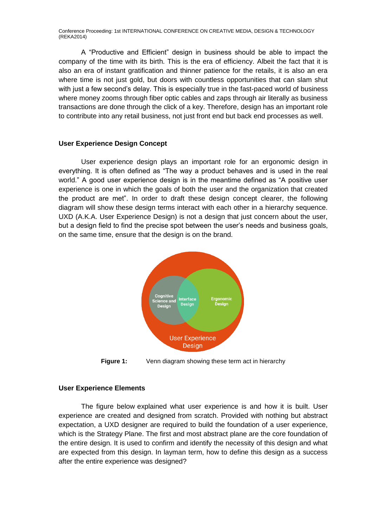A "Productive and Efficient" design in business should be able to impact the company of the time with its birth. This is the era of efficiency. Albeit the fact that it is also an era of instant gratification and thinner patience for the retails, it is also an era where time is not just gold, but doors with countless opportunities that can slam shut with just a few second's delay. This is especially true in the fast-paced world of business where money zooms through fiber optic cables and zaps through air literally as business transactions are done through the click of a key. Therefore, design has an important role to contribute into any retail business, not just front end but back end processes as well.

#### **User Experience Design Concept**

User experience design plays an important role for an ergonomic design in everything. It is often defined as "The way a product behaves and is used in the real world." A good user experience design is in the meantime defined as "A positive user experience is one in which the goals of both the user and the organization that created the product are met". In order to draft these design concept clearer, the following diagram will show these design terms interact with each other in a hierarchy sequence. UXD (A.K.A. User Experience Design) is not a design that just concern about the user, but a design field to find the precise spot between the user's needs and business goals, on the same time, ensure that the design is on the brand.



**Figure 1:** Venn diagram showing these term act in hierarchy

#### **User Experience Elements**

The figure below explained what user experience is and how it is built. User experience are created and designed from scratch. Provided with nothing but abstract expectation, a UXD designer are required to build the foundation of a user experience, which is the Strategy Plane. The first and most abstract plane are the core foundation of the entire design. It is used to confirm and identify the necessity of this design and what are expected from this design. In layman term, how to define this design as a success after the entire experience was designed?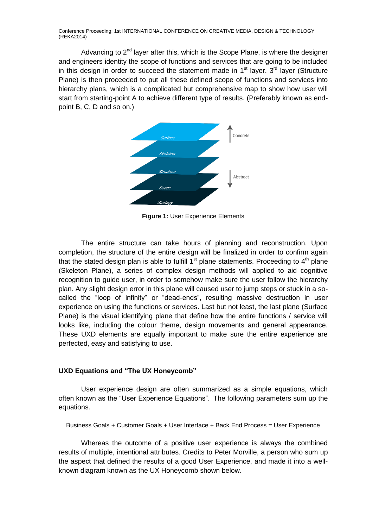Advancing to  $2<sup>nd</sup>$  layer after this, which is the Scope Plane, is where the designer and engineers identity the scope of functions and services that are going to be included in this design in order to succeed the statement made in  $1<sup>st</sup>$  layer.  $3<sup>rd</sup>$  layer (Structure Plane) is then proceeded to put all these defined scope of functions and services into hierarchy plans, which is a complicated but comprehensive map to show how user will start from starting-point A to achieve different type of results. (Preferably known as endpoint B, C, D and so on.)



**Figure 1:** User Experience Elements

The entire structure can take hours of planning and reconstruction. Upon completion, the structure of the entire design will be finalized in order to confirm again that the stated design plan is able to fulfill  $1<sup>st</sup>$  plane statements. Proceeding to  $4<sup>th</sup>$  plane (Skeleton Plane), a series of complex design methods will applied to aid cognitive recognition to guide user, in order to somehow make sure the user follow the hierarchy plan. Any slight design error in this plane will caused user to jump steps or stuck in a socalled the "loop of infinity" or "dead-ends", resulting massive destruction in user experience on using the functions or services. Last but not least, the last plane (Surface Plane) is the visual identifying plane that define how the entire functions / service will looks like, including the colour theme, design movements and general appearance. These UXD elements are equally important to make sure the entire experience are perfected, easy and satisfying to use.

#### **UXD Equations and "The UX Honeycomb"**

User experience design are often summarized as a simple equations, which often known as the "User Experience Equations". The following parameters sum up the equations.

Business Goals + Customer Goals + User Interface + Back End Process = User Experience

Whereas the outcome of a positive user experience is always the combined results of multiple, intentional attributes. Credits to Peter Morville, a person who sum up the aspect that defined the results of a good User Experience, and made it into a wellknown diagram known as the UX Honeycomb shown below.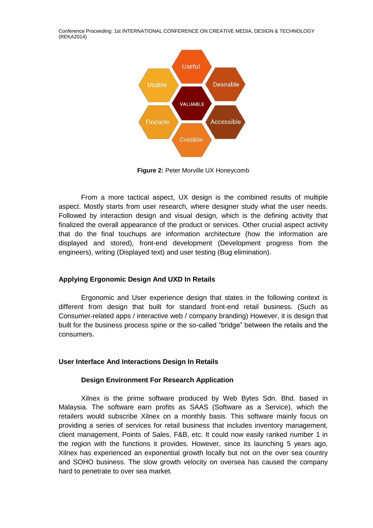

**Figure 2:** Peter Morville UX Honeycomb

From a more tactical aspect, UX design is the combined results of multiple aspect. Mostly starts from user research, where designer study what the user needs. Followed by interaction design and visual design, which is the defining activity that finalized the overall appearance of the product or services. Other crucial aspect activity that do the final touchups are information architecture (how the information are displayed and stored), front-end development (Development progress from the engineers), writing (Displayed text) and user testing (Bug elimination).

## **Applying Ergonomic Design And UXD In Retails**

Ergonomic and User experience design that states in the following context is different from design that built for standard front-end retail business. (Such as Consumer-related apps / interactive web / company branding) However, it is design that built for the business process spine or the so-called "bridge" between the retails and the consumers.

#### **User Interface And Interactions Design In Retails**

#### **Design Environment For Research Application**

Xilnex is the prime software produced by Web Bytes Sdn. Bhd. based in Malaysia. The software earn profits as SAAS (Software as a Service), which the retailers would subscribe Xilnex on a monthly basis. This software mainly focus on providing a series of services for retail business that includes inventory management, client management, Points of Sales, F&B, etc. It could now easily ranked number 1 in the region with the functions it provides. However, since its launching 5 years ago, Xilnex has experienced an exponential growth locally but not on the over sea country and SOHO business. The slow growth velocity on oversea has caused the company hard to penetrate to over sea market.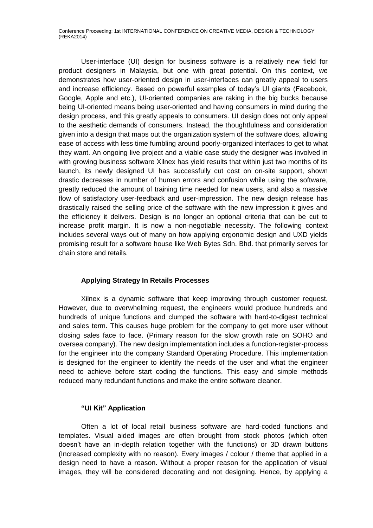User-interface (UI) design for business software is a relatively new field for product designers in Malaysia, but one with great potential. On this context, we demonstrates how user-oriented design in user-interfaces can greatly appeal to users and increase efficiency. Based on powerful examples of today's UI giants (Facebook, Google, Apple and etc.), UI-oriented companies are raking in the big bucks because being UI-oriented means being user-oriented and having consumers in mind during the design process, and this greatly appeals to consumers. UI design does not only appeal to the aesthetic demands of consumers. Instead, the thoughtfulness and consideration given into a design that maps out the organization system of the software does, allowing ease of access with less time fumbling around poorly-organized interfaces to get to what they want. An ongoing live project and a viable case study the designer was involved in with growing business software Xilnex has yield results that within just two months of its launch, its newly designed UI has successfully cut cost on on-site support, shown drastic decreases in number of human errors and confusion while using the software, greatly reduced the amount of training time needed for new users, and also a massive flow of satisfactory user-feedback and user-impression. The new design release has drastically raised the selling price of the software with the new impression it gives and the efficiency it delivers. Design is no longer an optional criteria that can be cut to increase profit margin. It is now a non-negotiable necessity. The following context includes several ways out of many on how applying ergonomic design and UXD yields promising result for a software house like Web Bytes Sdn. Bhd. that primarily serves for chain store and retails.

# **Applying Strategy In Retails Processes**

Xilnex is a dynamic software that keep improving through customer request. However, due to overwhelming request, the engineers would produce hundreds and hundreds of unique functions and clumped the software with hard-to-digest technical and sales term. This causes huge problem for the company to get more user without closing sales face to face. (Primary reason for the slow growth rate on SOHO and oversea company). The new design implementation includes a function-register-process for the engineer into the company Standard Operating Procedure. This implementation is designed for the engineer to identify the needs of the user and what the engineer need to achieve before start coding the functions. This easy and simple methods reduced many redundant functions and make the entire software cleaner.

## **"UI Kit" Application**

Often a lot of local retail business software are hard-coded functions and templates. Visual aided images are often brought from stock photos (which often doesn't have an in-depth relation together with the functions) or 3D drawn buttons (Increased complexity with no reason). Every images / colour / theme that applied in a design need to have a reason. Without a proper reason for the application of visual images, they will be considered decorating and not designing. Hence, by applying a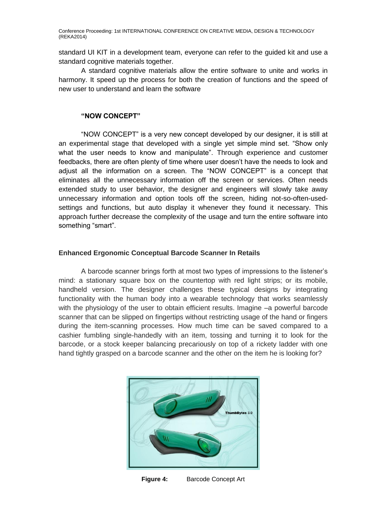standard UI KIT in a development team, everyone can refer to the guided kit and use a standard cognitive materials together.

A standard cognitive materials allow the entire software to unite and works in harmony. It speed up the process for both the creation of functions and the speed of new user to understand and learn the software

### **"NOW CONCEPT"**

"NOW CONCEPT" is a very new concept developed by our designer, it is still at an experimental stage that developed with a single yet simple mind set. "Show only what the user needs to know and manipulate". Through experience and customer feedbacks, there are often plenty of time where user doesn't have the needs to look and adjust all the information on a screen. The "NOW CONCEPT" is a concept that eliminates all the unnecessary information off the screen or services. Often needs extended study to user behavior, the designer and engineers will slowly take away unnecessary information and option tools off the screen, hiding not-so-often-usedsettings and functions, but auto display it whenever they found it necessary. This approach further decrease the complexity of the usage and turn the entire software into something "smart".

## **Enhanced Ergonomic Conceptual Barcode Scanner In Retails**

A barcode scanner brings forth at most two types of impressions to the listener's mind: a stationary square box on the countertop with red light strips; or its mobile, handheld version. The designer challenges these typical designs by integrating functionality with the human body into a wearable technology that works seamlessly with the physiology of the user to obtain efficient results. Imagine –a powerful barcode scanner that can be slipped on fingertips without restricting usage of the hand or fingers during the item-scanning processes. How much time can be saved compared to a cashier fumbling single-handedly with an item, tossing and turning it to look for the barcode, or a stock keeper balancing precariously on top of a rickety ladder with one hand tightly grasped on a barcode scanner and the other on the item he is looking for?



**Figure 4:** Barcode Concept Art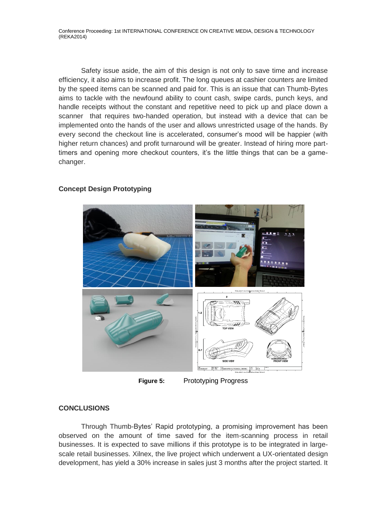Safety issue aside, the aim of this design is not only to save time and increase efficiency, it also aims to increase profit. The long queues at cashier counters are limited by the speed items can be scanned and paid for. This is an issue that can Thumb-Bytes aims to tackle with the newfound ability to count cash, swipe cards, punch keys, and handle receipts without the constant and repetitive need to pick up and place down a scanner that requires two-handed operation, but instead with a device that can be implemented onto the hands of the user and allows unrestricted usage of the hands. By every second the checkout line is accelerated, consumer's mood will be happier (with higher return chances) and profit turnaround will be greater. Instead of hiring more parttimers and opening more checkout counters, it's the little things that can be a gamechanger.



# **Concept Design Prototyping**

**Figure 5:** Prototyping Progress

## **CONCLUSIONS**

Through Thumb-Bytes' Rapid prototyping, a promising improvement has been observed on the amount of time saved for the item-scanning process in retail businesses. It is expected to save millions if this prototype is to be integrated in largescale retail businesses. Xilnex, the live project which underwent a UX-orientated design development, has yield a 30% increase in sales just 3 months after the project started. It